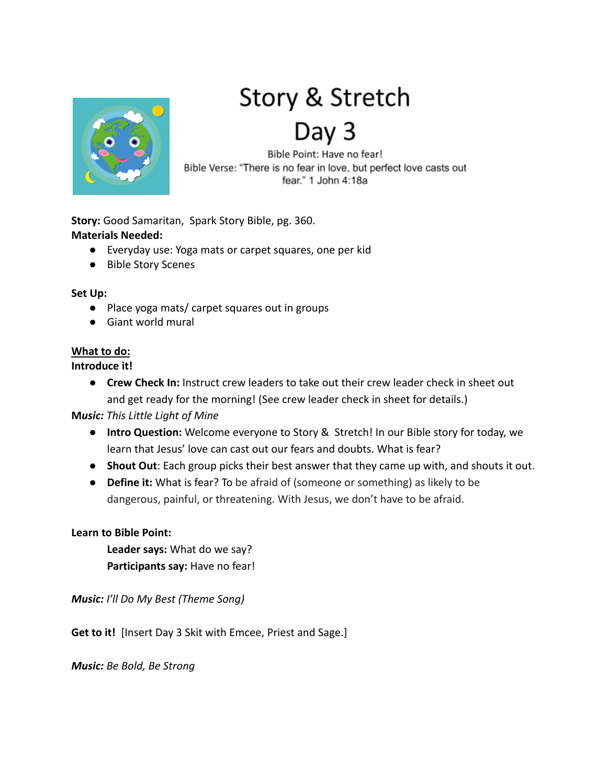

# Story & Stretch Day 3

Bible Point: Have no fear! Bible Verse: "There is no fear in love, but perfect love casts out fear." 1 John 4:18a

**Story:** Good Samaritan, Spark Story Bible, pg. 360. **Materials Needed:**

- Everyday use: Yoga mats or carpet squares, one per kid
- Bible Story Scenes

#### **Set Up:**

- Place yoga mats/ carpet squares out in groups
- Giant world mural

## **What to do:**

## **Introduce it!**

● **Crew Check In:** Instruct crew leaders to take out their crew leader check in sheet out and get ready for the morning! (See crew leader check in sheet for details.)

**M***usic: This Little Light of Mine*

- **Intro Question:** Welcome everyone to Story & Stretch! In our Bible story for today, we learn that Jesus' love can cast out our fears and doubts. What is fear?
- **Shout Out**: Each group picks their best answer that they came up with, and shouts it out.
- **● Define it:** What is fear? To be afraid of (someone or something) as likely to be dangerous, painful, or threatening. With Jesus, we don't have to be afraid.

## **Learn to Bible Point:**

**Leader says:** What do we say? **Participants say:** Have no fear!

*Music: I'll Do My Best (Theme Song)*

**Get to it!** [Insert Day 3 Skit with Emcee, Priest and Sage.]

*Music: Be Bold, Be Strong*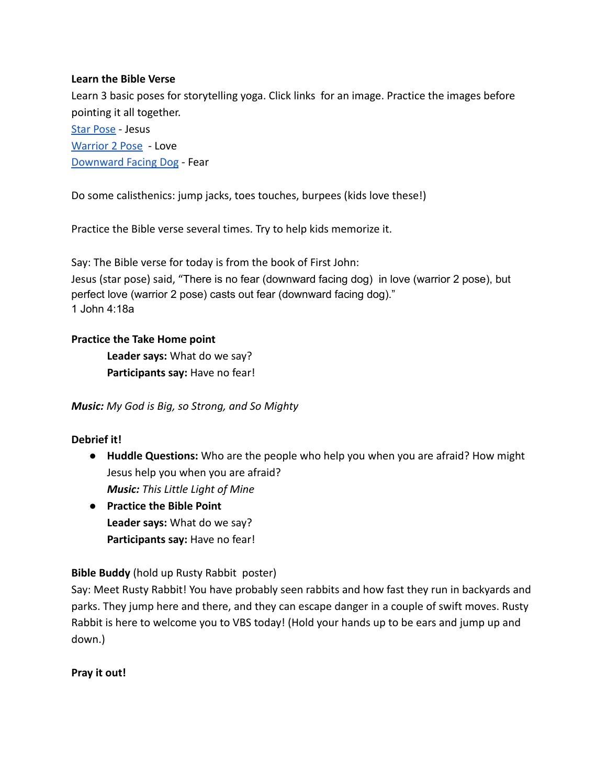## **Learn the Bible Verse**

Learn 3 basic poses for storytelling yoga. Click links for an image. Practice the images before pointing it all together.

[Star Pose](https://www.pinterest.com/pin/357754764120607512/) - Jesus [Warrior 2 Pose](https://hitherandthither.net/yoga-for-kids/) - Love [Downward Facing Dog](https://namastekid.com/teaching-tools/downward-facing-dog/) - Fear

Do some calisthenics: jump jacks, toes touches, burpees (kids love these!)

Practice the Bible verse several times. Try to help kids memorize it.

Say: The Bible verse for today is from the book of First John: Jesus (star pose) said, "There is no fear (downward facing dog) in love (warrior 2 pose), but perfect love (warrior 2 pose) casts out fear (downward facing dog)." 1 John 4:18a

## **Practice the Take Home point**

**Leader says:** What do we say? **Participants say:** Have no fear!

*Music: My God is Big, so Strong, and So Mighty*

## **Debrief it!**

- **● Huddle Questions:** Who are the people who help you when you are afraid? How might Jesus help you when you are afraid? *Music: This Little Light of Mine*
- **● Practice the Bible Point Leader says:** What do we say? **Participants say:** Have no fear!

## **Bible Buddy** (hold up Rusty Rabbit poster)

Say: Meet Rusty Rabbit! You have probably seen rabbits and how fast they run in backyards and parks. They jump here and there, and they can escape danger in a couple of swift moves. Rusty Rabbit is here to welcome you to VBS today! (Hold your hands up to be ears and jump up and down.)

## **Pray it out!**